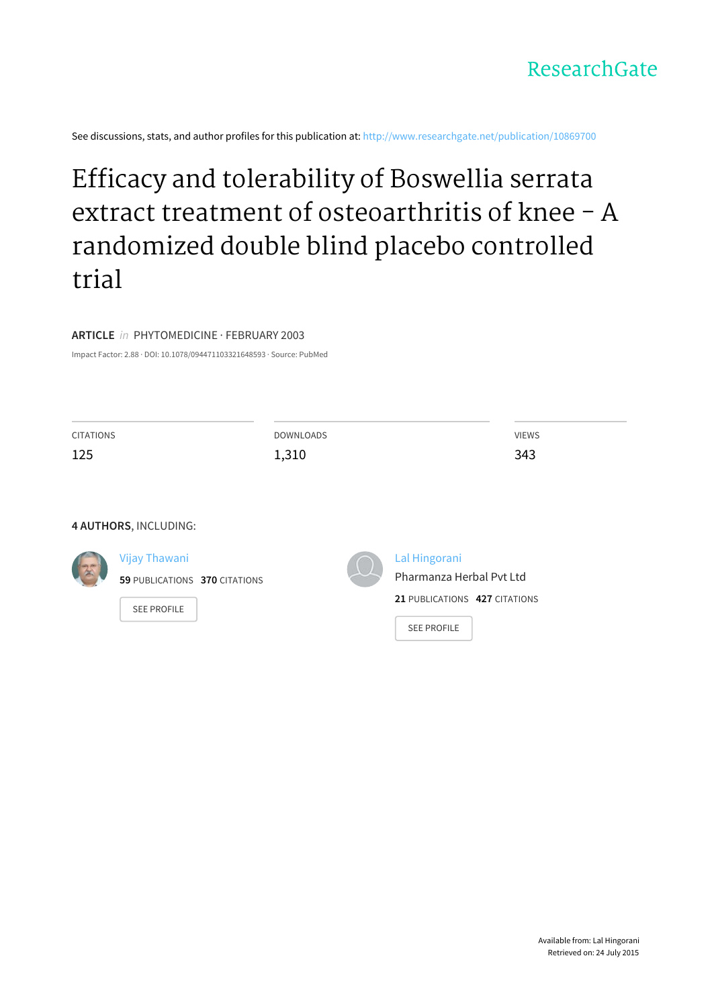

See discussions, stats, and author profiles for this publication at: [http://www.researchgate.net/publication/10869700](http://www.researchgate.net/publication/10869700_Efficacy_and_tolerability_of_Boswellia_serrata_extract_treatment_of_osteoarthritis_of_knee_-_A_randomized_double_blind_placebo_controlled_trial?enrichId=rgreq-3f285897-f960-48e6-923e-779f3041a09c&enrichSource=Y292ZXJQYWdlOzEwODY5NzAwO0FTOjk3MDMyNjYwMzI0MzY1QDE0MDAxNDU3OTgzOTg%3D&el=1_x_2)

# Efficacy and tolerability of Boswellia serrata extract treatment of [osteoarthritis](http://www.researchgate.net/publication/10869700_Efficacy_and_tolerability_of_Boswellia_serrata_extract_treatment_of_osteoarthritis_of_knee_-_A_randomized_double_blind_placebo_controlled_trial?enrichId=rgreq-3f285897-f960-48e6-923e-779f3041a09c&enrichSource=Y292ZXJQYWdlOzEwODY5NzAwO0FTOjk3MDMyNjYwMzI0MzY1QDE0MDAxNDU3OTgzOTg%3D&el=1_x_3) of knee - A randomized double blind placebo controlled trial

#### **ARTICLE** in PHYTOMEDICINE · FEBRUARY 2003

Impact Factor: 2.88 · DOI: 10.1078/094471103321648593 · Source: PubMed

| <b>CITATIONS</b><br>125 |                                                | <b>DOWNLOADS</b><br>1,310 | <b>VIEWS</b><br>343                                 |
|-------------------------|------------------------------------------------|---------------------------|-----------------------------------------------------|
|                         |                                                |                           |                                                     |
|                         | 4 AUTHORS, INCLUDING:                          |                           |                                                     |
|                         | Vijay Thawani<br>59 PUBLICATIONS 370 CITATIONS |                           | Lal Hingorani<br>Pharmanza Herbal Pvt Ltd           |
|                         | <b>SEE PROFILE</b>                             |                           | 21 PUBLICATIONS 427 CITATIONS<br><b>SEE PROFILE</b> |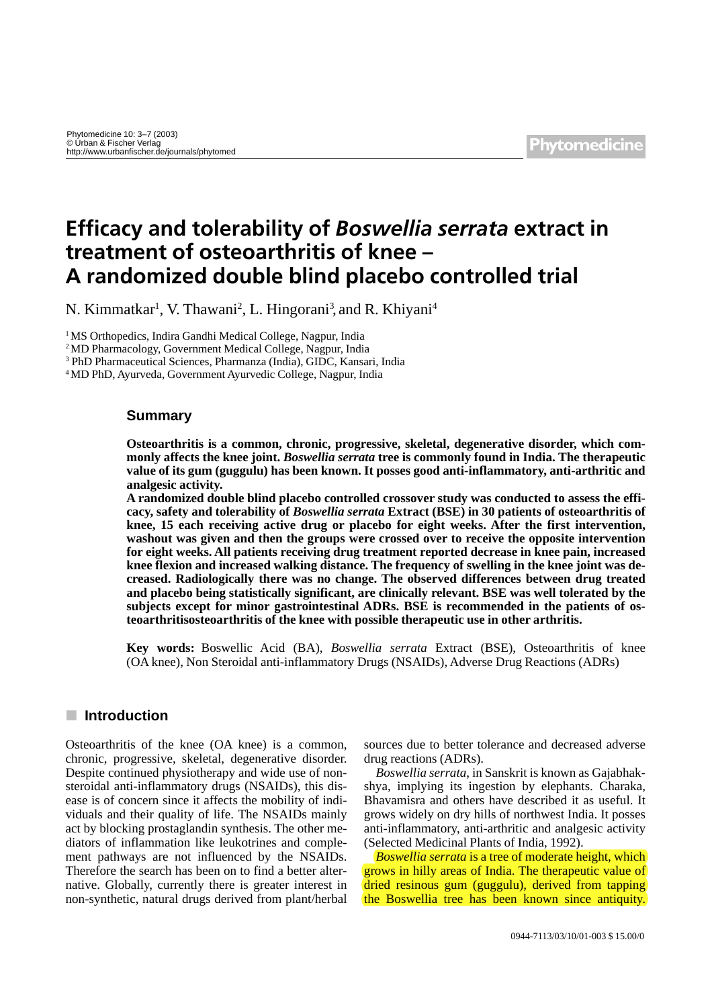# **Efficacy and tolerability of** *Boswellia serrata* **extract in treatment of osteoarthritis of knee – A randomized double blind placebo controlled trial**

N. Kimmatkar<sup>1</sup>, V. Thawani<sup>2</sup>, L. Hingorani<sup>3</sup>, and R. Khiyani<sup>4</sup>

<sup>1</sup> MS Orthopedics, Indira Gandhi Medical College, Nagpur, India

2 MD Pharmacology, Government Medical College, Nagpur, India

<sup>3</sup> PhD Pharmaceutical Sciences, Pharmanza (India), GIDC, Kansari, India

4 MD PhD, Ayurveda, Government Ayurvedic College, Nagpur, India

# **Summary**

**Osteoarthritis is a common, chronic, progressive, skeletal, degenerative disorder, which commonly affects the knee joint.** *Boswellia serrata* **tree is commonly found in India. The therapeutic value of its gum (guggulu) has been known. It posses good anti-inflammatory, anti-arthritic and analgesic activity.**

**A randomized double blind placebo controlled crossover study was conducted to assess the efficacy, safety and tolerability of** *Boswellia serrata* **Extract (BSE) in 30 patients of osteoarthritis of knee, 15 each receiving active drug or placebo for eight weeks. After the first intervention, washout was given and then the groups were crossed over to receive the opposite intervention for eight weeks. All patients receiving drug treatment reported decrease in knee pain, increased knee flexion and increased walking distance. The frequency of swelling in the knee joint was decreased. Radiologically there was no change. The observed differences between drug treated and placebo being statistically significant, are clinically relevant. BSE was well tolerated by the subjects except for minor gastrointestinal ADRs. BSE is recommended in the patients of osteoarthritisosteoarthritis of the knee with possible therapeutic use in other arthritis.** 

**Key words:** Boswellic Acid (BA), *Boswellia serrata* Extract (BSE), Osteoarthritis of knee (OA knee), Non Steroidal anti-inflammatory Drugs (NSAIDs), Adverse Drug Reactions (ADRs)

# $\blacksquare$  Introduction

Osteoarthritis of the knee (OA knee) is a common, chronic, progressive, skeletal, degenerative disorder. Despite continued physiotherapy and wide use of nonsteroidal anti-inflammatory drugs (NSAIDs), this disease is of concern since it affects the mobility of individuals and their quality of life. The NSAIDs mainly act by blocking prostaglandin synthesis. The other mediators of inflammation like leukotrines and complement pathways are not influenced by the NSAIDs. Therefore the search has been on to find a better alternative. Globally, currently there is greater interest in non-synthetic, natural drugs derived from plant/herbal sources due to better tolerance and decreased adverse drug reactions (ADRs).

*Boswellia serrata*, in Sanskrit is known as Gajabhakshya, implying its ingestion by elephants. Charaka, Bhavamisra and others have described it as useful. It grows widely on dry hills of northwest India. It posses anti-inflammatory, anti-arthritic and analgesic activity (Selected Medicinal Plants of India, 1992).

*Boswellia serrata* is a tree of moderate height, which grows in hilly areas of India. The therapeutic value of dried resinous gum (guggulu), derived from tapping the Boswellia tree has been known since antiquity.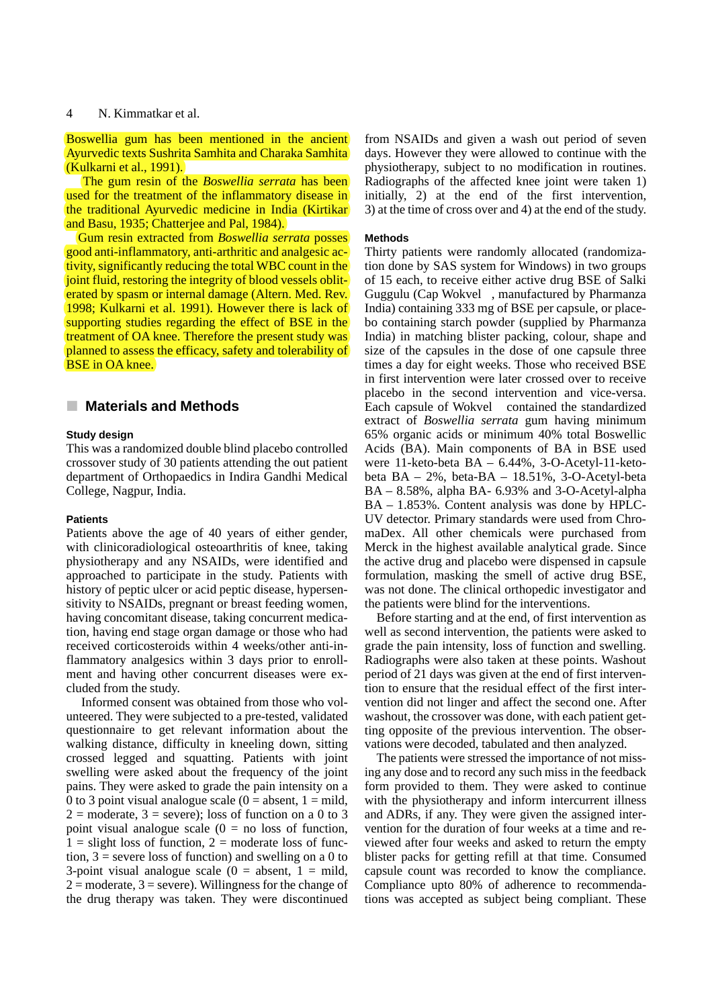#### 4 N. Kimmatkar et al.

Boswellia gum has been mentioned in the ancient Ayurvedic texts Sushrita Samhita and Charaka Samhita (Kulkarni et al., 1991).

The gum resin of the *Boswellia serrata* has been used for the treatment of the inflammatory disease in the traditional Ayurvedic medicine in India (Kirtikar and Basu, 1935; Chatterjee and Pal, 1984).

Gum resin extracted from *Boswellia serrata* posses good anti-inflammatory, anti-arthritic and analgesic activity, significantly reducing the total WBC count in the joint fluid, restoring the integrity of blood vessels obliterated by spasm or internal damage (Altern. Med. Rev. 1998; Kulkarni et al. 1991). However there is lack of supporting studies regarding the effect of BSE in the treatment of OA knee. Therefore the present study was planned to assess the efficacy, safety and tolerability of BSE in OA knee.

# **■ Materials and Methods**

#### **Study design**

This was a randomized double blind placebo controlled crossover study of 30 patients attending the out patient department of Orthopaedics in Indira Gandhi Medical College, Nagpur, India.

#### **Patients**

Patients above the age of 40 years of either gender, with clinicoradiological osteoarthritis of knee, taking physiotherapy and any NSAIDs, were identified and approached to participate in the study. Patients with history of peptic ulcer or acid peptic disease, hypersensitivity to NSAIDs, pregnant or breast feeding women, having concomitant disease, taking concurrent medication, having end stage organ damage or those who had received corticosteroids within 4 weeks/other anti-inflammatory analgesics within 3 days prior to enrollment and having other concurrent diseases were excluded from the study.

Informed consent was obtained from those who volunteered. They were subjected to a pre-tested, validated questionnaire to get relevant information about the walking distance, difficulty in kneeling down, sitting crossed legged and squatting. Patients with joint swelling were asked about the frequency of the joint pains. They were asked to grade the pain intensity on a 0 to 3 point visual analogue scale  $(0 =$  absent,  $1 =$  mild,  $2 =$  moderate,  $3 =$  severe); loss of function on a 0 to 3 point visual analogue scale  $(0 = no \text{ loss of function})$ ,  $1 =$  slight loss of function,  $2 =$  moderate loss of function,  $3$  = severe loss of function) and swelling on a 0 to 3-point visual analogue scale  $(0 =$  absent,  $1 =$  mild,  $2 =$  moderate,  $3 =$  severe). Willingness for the change of the drug therapy was taken. They were discontinued

from NSAIDs and given a wash out period of seven days. However they were allowed to continue with the physiotherapy, subject to no modification in routines. Radiographs of the affected knee joint were taken 1) initially, 2) at the end of the first intervention, 3) at the time of cross over and 4) at the end of the study.

#### **Methods**

Thirty patients were randomly allocated (randomization done by SAS system for Windows) in two groups of 15 each, to receive either active drug BSE of Salki Guggulu (Cap Wokvel™, manufactured by Pharmanza India) containing 333 mg of BSE per capsule, or placebo containing starch powder (supplied by Pharmanza India) in matching blister packing, colour, shape and size of the capsules in the dose of one capsule three times a day for eight weeks. Those who received BSE in first intervention were later crossed over to receive placebo in the second intervention and vice-versa. Each capsule of Wokvel<sup>™</sup> contained the standardized extract of *Boswellia serrata* gum having minimum 65% organic acids or minimum 40% total Boswellic Acids (BA). Main components of BA in BSE used were 11-keto-beta BA – 6.44%, 3-O-Acetyl-11-ketobeta BA – 2%, beta-BA – 18.51%, 3-O-Acetyl-beta BA – 8.58%, alpha BA- 6.93% and 3-O-Acetyl-alpha BA – 1.853%. Content analysis was done by HPLC-UV detector. Primary standards were used from ChromaDex. All other chemicals were purchased from Merck in the highest available analytical grade. Since the active drug and placebo were dispensed in capsule formulation, masking the smell of active drug BSE, was not done. The clinical orthopedic investigator and the patients were blind for the interventions.

Before starting and at the end, of first intervention as well as second intervention, the patients were asked to grade the pain intensity, loss of function and swelling. Radiographs were also taken at these points. Washout period of 21 days was given at the end of first intervention to ensure that the residual effect of the first intervention did not linger and affect the second one. After washout, the crossover was done, with each patient getting opposite of the previous intervention. The observations were decoded, tabulated and then analyzed.

The patients were stressed the importance of not missing any dose and to record any such miss in the feedback form provided to them. They were asked to continue with the physiotherapy and inform intercurrent illness and ADRs, if any. They were given the assigned intervention for the duration of four weeks at a time and reviewed after four weeks and asked to return the empty blister packs for getting refill at that time. Consumed capsule count was recorded to know the compliance. Compliance upto 80% of adherence to recommendations was accepted as subject being compliant. These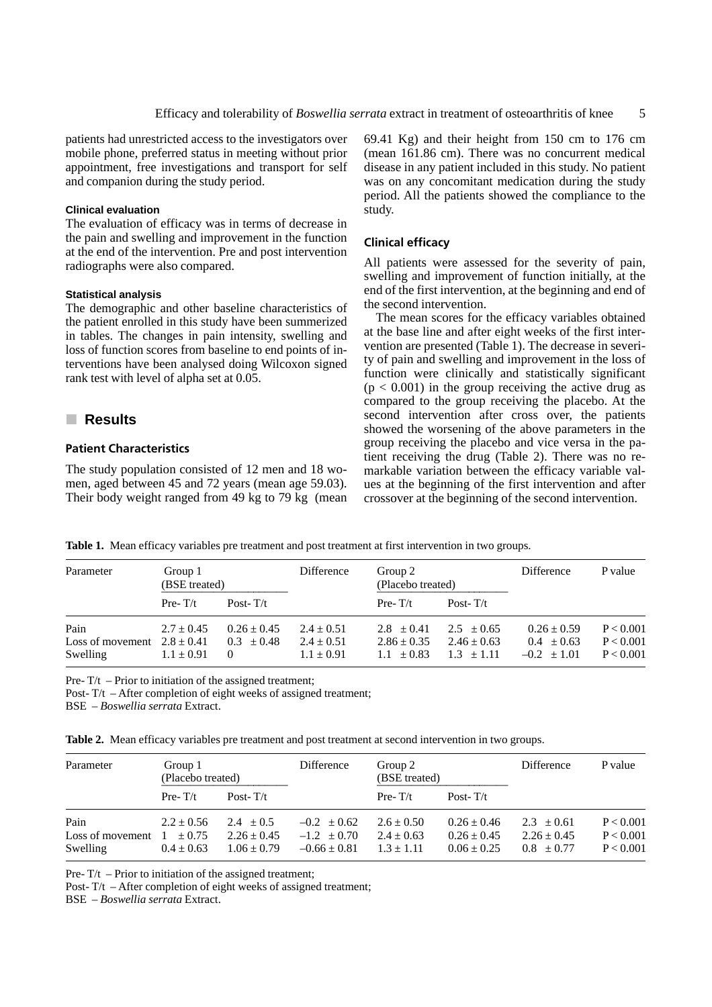patients had unrestricted access to the investigators over mobile phone, preferred status in meeting without prior appointment, free investigations and transport for self and companion during the study period.

#### **Clinical evaluation**

The evaluation of efficacy was in terms of decrease in the pain and swelling and improvement in the function at the end of the intervention. Pre and post intervention radiographs were also compared.

#### **Statistical analysis**

The demographic and other baseline characteristics of the patient enrolled in this study have been summerized in tables. The changes in pain intensity, swelling and loss of function scores from baseline to end points of interventions have been analysed doing Wilcoxon signed rank test with level of alpha set at 0.05.

# $\blacksquare$  Results

#### **Patient Characteristics**

The study population consisted of 12 men and 18 women, aged between 45 and 72 years (mean age 59.03). Their body weight ranged from 49 kg to 79 kg (mean 69.41 Kg) and their height from 150 cm to 176 cm (mean 161.86 cm). There was no concurrent medical disease in any patient included in this study. No patient was on any concomitant medication during the study period. All the patients showed the compliance to the study.

#### **Clinical efficacy**

All patients were assessed for the severity of pain, swelling and improvement of function initially, at the end of the first intervention, at the beginning and end of the second intervention.

The mean scores for the efficacy variables obtained at the base line and after eight weeks of the first intervention are presented (Table 1). The decrease in severity of pain and swelling and improvement in the loss of function were clinically and statistically significant  $(p < 0.001)$  in the group receiving the active drug as compared to the group receiving the placebo. At the second intervention after cross over, the patients showed the worsening of the above parameters in the group receiving the placebo and vice versa in the patient receiving the drug (Table 2). There was no remarkable variation between the efficacy variable values at the beginning of the first intervention and after crossover at the beginning of the second intervention.

**Table 1.** Mean efficacy variables pre treatment and post treatment at first intervention in two groups.

| Parameter                                           | Group 1<br>(BSE treated)         |                                               | Difference                                         | Group 2<br>(Placebo treated)                        |                                                     | Difference                                           | P value                             |
|-----------------------------------------------------|----------------------------------|-----------------------------------------------|----------------------------------------------------|-----------------------------------------------------|-----------------------------------------------------|------------------------------------------------------|-------------------------------------|
|                                                     | $Pre-T/t$                        | Post- $T/t$                                   |                                                    | $Pre-T/t$                                           | Post- $T/t$                                         |                                                      |                                     |
| Pain<br>Loss of movement $2.8 \pm 0.41$<br>Swelling | $2.7 \pm 0.45$<br>$1.1 \pm 0.91$ | $0.26 \pm 0.45$<br>$0.3 \pm 0.48$<br>$\Omega$ | $2.4 \pm 0.51$<br>$2.4 \pm 0.51$<br>$1.1 \pm 0.91$ | $2.8 \pm 0.41$<br>$2.86 \pm 0.35$<br>$1.1 \pm 0.83$ | $2.5 \pm 0.65$<br>$2.46 \pm 0.63$<br>$1.3 \pm 1.11$ | $0.26 \pm 0.59$<br>$0.4 \pm 0.63$<br>$-0.2 \pm 1.01$ | P < 0.001<br>P < 0.001<br>P < 0.001 |

Pre-  $T/t$  – Prior to initiation of the assigned treatment;

Post- T/t – After completion of eight weeks of assigned treatment;

BSE – *Boswellia serrata* Extract.

**Table 2.** Mean efficacy variables pre treatment and post treatment at second intervention in two groups.

| Parameter                                | Group 1<br>(Placebo treated)                |                                                     | Difference                                             | Group 2<br>(BSE treated)                           |                                                       | Difference                                          | P value                             |
|------------------------------------------|---------------------------------------------|-----------------------------------------------------|--------------------------------------------------------|----------------------------------------------------|-------------------------------------------------------|-----------------------------------------------------|-------------------------------------|
|                                          | $Pre-T/t$                                   | Post- $T/t$                                         |                                                        | $Pre-T/t$                                          | Post- $T/t$                                           |                                                     |                                     |
| Pain<br>Loss of movement $1$<br>Swelling | $2.2 \pm 0.56$<br>$+0.75$<br>$0.4 \pm 0.63$ | $2.4 \pm 0.5$<br>$2.26 \pm 0.45$<br>$1.06 \pm 0.79$ | $-0.2 \pm 0.62$<br>$-1.2 \pm 0.70$<br>$-0.66 \pm 0.81$ | $2.6 \pm 0.50$<br>$2.4 \pm 0.63$<br>$1.3 \pm 1.11$ | $0.26 \pm 0.46$<br>$0.26 \pm 0.45$<br>$0.06 \pm 0.25$ | $2.3 \pm 0.61$<br>$2.26 \pm 0.45$<br>$0.8 \pm 0.77$ | P < 0.001<br>P < 0.001<br>P < 0.001 |

Pre-  $T/t$  – Prior to initiation of the assigned treatment;

Post- T/t – After completion of eight weeks of assigned treatment;

BSE – *Boswellia serrata* Extract.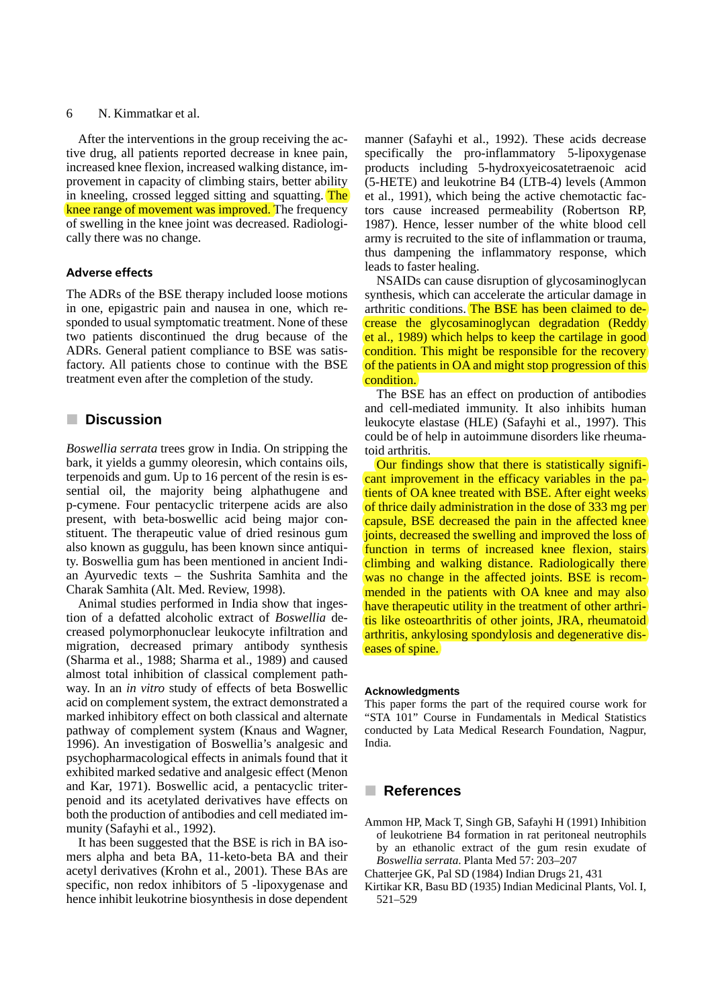#### 6 N. Kimmatkar et al.

After the interventions in the group receiving the active drug, all patients reported decrease in knee pain, increased knee flexion, increased walking distance, improvement in capacity of climbing stairs, better ability in kneeling, crossed legged sitting and squatting. The knee range of movement was improved. The frequency of swelling in the knee joint was decreased. Radiologically there was no change.

#### **Adverse effects**

The ADRs of the BSE therapy included loose motions in one, epigastric pain and nausea in one, which responded to usual symptomatic treatment. None of these two patients discontinued the drug because of the ADRs. General patient compliance to BSE was satisfactory. All patients chose to continue with the BSE treatment even after the completion of the study.

# **n** Discussion

*Boswellia serrata* trees grow in India. On stripping the bark, it yields a gummy oleoresin, which contains oils, terpenoids and gum. Up to 16 percent of the resin is essential oil, the majority being alphathugene and p-cymene. Four pentacyclic triterpene acids are also present, with beta-boswellic acid being major constituent. The therapeutic value of dried resinous gum also known as guggulu, has been known since antiquity. Boswellia gum has been mentioned in ancient Indian Ayurvedic texts – the Sushrita Samhita and the Charak Samhita (Alt. Med. Review, 1998).

Animal studies performed in India show that ingestion of a defatted alcoholic extract of *Boswellia* decreased polymorphonuclear leukocyte infiltration and migration, decreased primary antibody synthesis (Sharma et al., 1988; Sharma et al., 1989) and caused almost total inhibition of classical complement pathway. In an *in vitro* study of effects of beta Boswellic acid on complement system, the extract demonstrated a marked inhibitory effect on both classical and alternate pathway of complement system (Knaus and Wagner, 1996). An investigation of Boswellia's analgesic and psychopharmacological effects in animals found that it exhibited marked sedative and analgesic effect (Menon and Kar, 1971). Boswellic acid, a pentacyclic triterpenoid and its acetylated derivatives have effects on both the production of antibodies and cell mediated immunity (Safayhi et al., 1992).

It has been suggested that the BSE is rich in BA isomers alpha and beta BA, 11-keto-beta BA and their acetyl derivatives (Krohn et al., 2001). These BAs are specific, non redox inhibitors of 5 -lipoxygenase and hence inhibit leukotrine biosynthesis in dose dependent

manner (Safayhi et al., 1992). These acids decrease specifically the pro-inflammatory 5-lipoxygenase products including 5-hydroxyeicosatetraenoic acid (5-HETE) and leukotrine B4 (LTB-4) levels (Ammon et al., 1991), which being the active chemotactic factors cause increased permeability (Robertson RP, 1987). Hence, lesser number of the white blood cell army is recruited to the site of inflammation or trauma, thus dampening the inflammatory response, which leads to faster healing.

NSAIDs can cause disruption of glycosaminoglycan synthesis, which can accelerate the articular damage in arthritic conditions. The BSE has been claimed to decrease the glycosaminoglycan degradation (Reddy et al., 1989) which helps to keep the cartilage in good condition. This might be responsible for the recovery of the patients in OA and might stop progression of this condition.

The BSE has an effect on production of antibodies and cell-mediated immunity. It also inhibits human leukocyte elastase (HLE) (Safayhi et al., 1997). This could be of help in autoimmune disorders like rheumatoid arthritis.

Our findings show that there is statistically significant improvement in the efficacy variables in the patients of OA knee treated with BSE. After eight weeks of thrice daily administration in the dose of 333 mg per capsule, BSE decreased the pain in the affected knee joints, decreased the swelling and improved the loss of function in terms of increased knee flexion, stairs climbing and walking distance. Radiologically there was no change in the affected joints. BSE is recommended in the patients with OA knee and may also have therapeutic utility in the treatment of other arthritis like osteoarthritis of other joints, JRA, rheumatoid arthritis, ankylosing spondylosis and degenerative diseases of spine.

#### **Acknowledgments**

This paper forms the part of the required course work for "STA 101" Course in Fundamentals in Medical Statistics conducted by Lata Medical Research Foundation, Nagpur, India.

#### **■ References**

- Ammon HP, Mack T, Singh GB, Safayhi H (1991) Inhibition of leukotriene B4 formation in rat peritoneal neutrophils by an ethanolic extract of the gum resin exudate of *Boswellia serrata*. Planta Med 57: 203–207
- Chatterjee GK, Pal SD (1984) Indian Drugs 21, 431
- Kirtikar KR, Basu BD (1935) Indian Medicinal Plants, Vol. I, 521–529